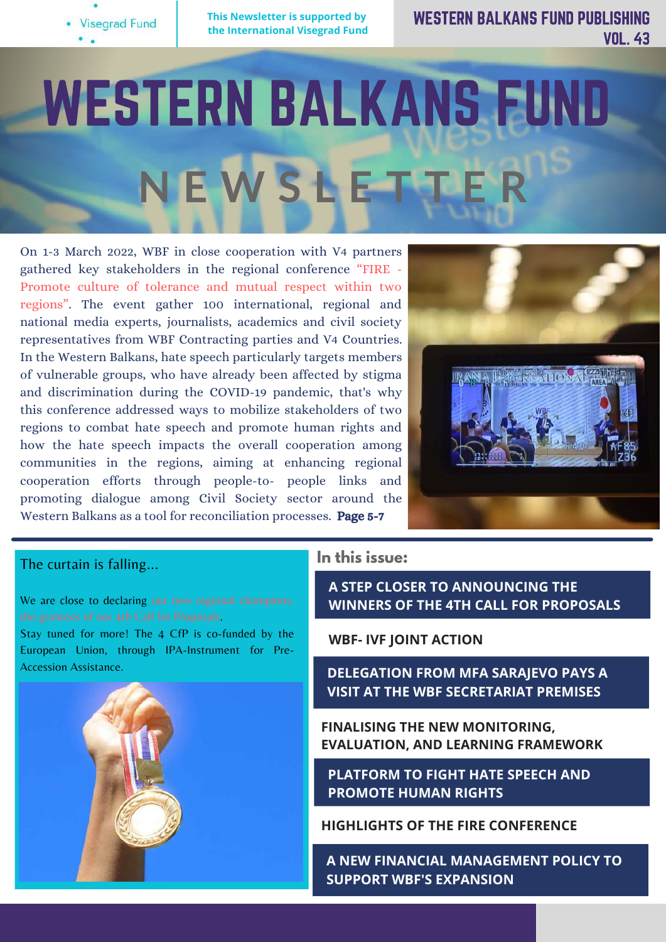

WESTERN BALKANS FUND PUBLISHING VOL. 43

# WESTERN BALKANS FUND **N E W S L E T T E R**

On 1-3 March 2022, WBF in close cooperation with V4 partners gathered key stakeholders in the regional conference "FIRE - Promote culture of tolerance and mutual respect within two regions". The event gather 100 international, regional and national media experts, journalists, academics and civil society representatives from WBF Contracting parties and V4 Countries. In the Western Balkans, hate speech particularly targets members of vulnerable groups, who have already been affected by stigma and discrimination during the COVID-19 pandemic, that's why this conference addressed ways to mobilize stakeholders of two regions to combat hate speech and promote human rights and how the hate speech impacts the overall cooperation among communities in the regions, aiming at enhancing regional cooperation efforts through people-to- people links and promoting dialogue among Civil Society sector around the Western Balkans as a tool for reconciliation processes. Page 5-7



#### The curtain is falling...

We are close to declaring our new regional champions, the [grantees](https://www.facebook.com/hashtag/grantees?__eep__=6&__cft__[0]=AZXrO_vYOuXl679LhqOToB8vcsiDKXVCRQzWrlg4GVjclhN9vF2HaJnL9iEqvgx82wo48QAcr5YjWYPhx8EyzXypP2kNmPuJrl2yyjR2PVFsrN9G-2ZowLp-MAKGievJ3kI_XFHM9A4tOvxlsGbIzBaGkJwAwViKyVk7DCaO259fpg&__tn__=*NK-R) of our 4th Call for Proposals.

Stay tuned for more! The 4 CfP is co-funded by the European Union, through IPA-Instrument for Pre-Accession Assistance.



### **In this issue:**

**A STEP CLOSER TO ANNOUNCING THE WINNERS OF THE 4TH CALL FOR PROPOSALS**

**WBF- IVF JOINT ACTION**

**DELEGATION FROM MFA SARAJEVO PAYS A VISIT AT THE WBF SECRETARIAT PREMISES**

**FINALISING THE NEW [MONITORING,](http://westernbalkansfund.org/2022/02/21/one-step-closer-towards-our-next-regional-champions/) EVALUATION, AND LEARNING FRAMEWORK**

**PLATFORM TO FIGHT HATE SPEECH AND PROMOTE HUMAN RIGHTS**

**HIGHLIGHTS OF THE FIRE CONFERENCE**

**A NEW FINANCIAL MANAGEMENT POLICY TO SUPPORT WBF'S EXPANSION**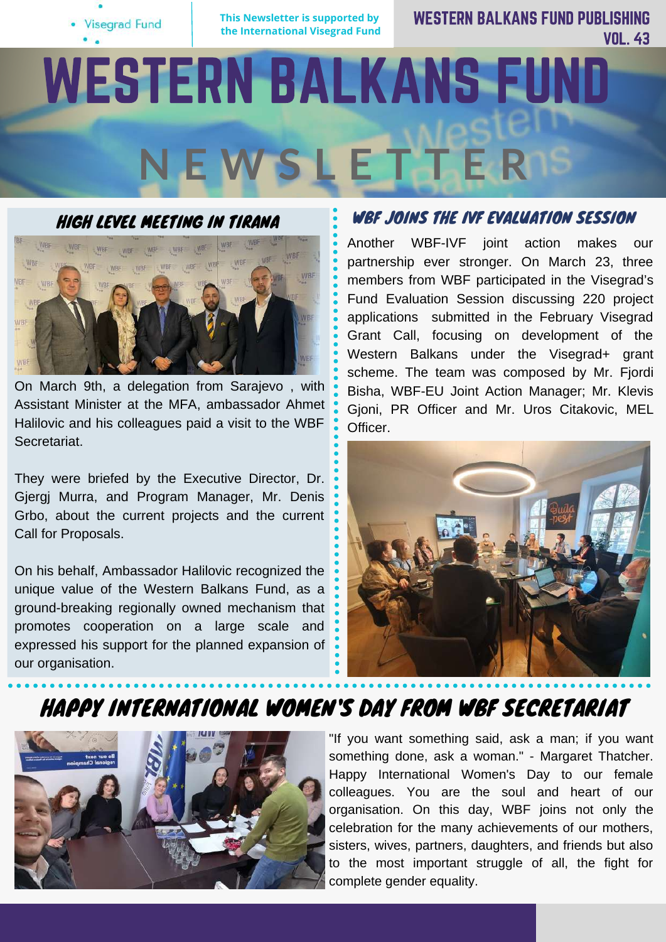

WESTERN BALKANS FUND PUBLISHING VOL. 43

# WESTERN BALKANS FUND **N E W S L E T T E R**



On March 9th, a delegation from Sarajevo , with Assistant Minister at the MFA, ambassador Ahmet Halilovic and his colleagues paid a visit to the WBF Secretariat.

They were briefed by the Executive Director, Dr. Gjergj Murra, and Program Manager, Mr. Denis Grbo, about the current projects and the current Call for Proposals.

On his behalf, Ambassador Halilovic recognized the unique value of the Western Balkans Fund, as a ground-breaking regionally owned mechanism that promotes cooperation on a large scale and expressed his support for the planned expansion of our organisation.

## WBF JOINS THE IVF EVALUATION SESSION

Another WBF-IVF joint action makes our partnership ever stronger. On March 23, three members from WBF participated in the Visegrad's Fund Evaluation Session discussing 220 project applications submitted in the February Visegrad Grant Call, focusing on development of the Western Balkans under the Visegrad+ grant scheme. The team was composed by Mr. Fjordi Bisha, WBF-EU Joint Action Manager; Mr. Klevis Gjoni, PR Officer and Mr. Uros Citakovic, MEL Officer.



## HAPPY INTERNATIONAL WOMEN'S DAY FROM WBF SECRETARIAT



"If you want something said, ask a man; if you want something done, ask a woman." - Margaret Thatcher. Happy International Women's Day to our female colleagues. You are the soul and heart of our organisation. On this day, WBF joins not only the celebration for the many achievements of our mothers, sisters, wives, partners, daughters, and friends but also to the most important struggle of all, the fight for complete gender equality.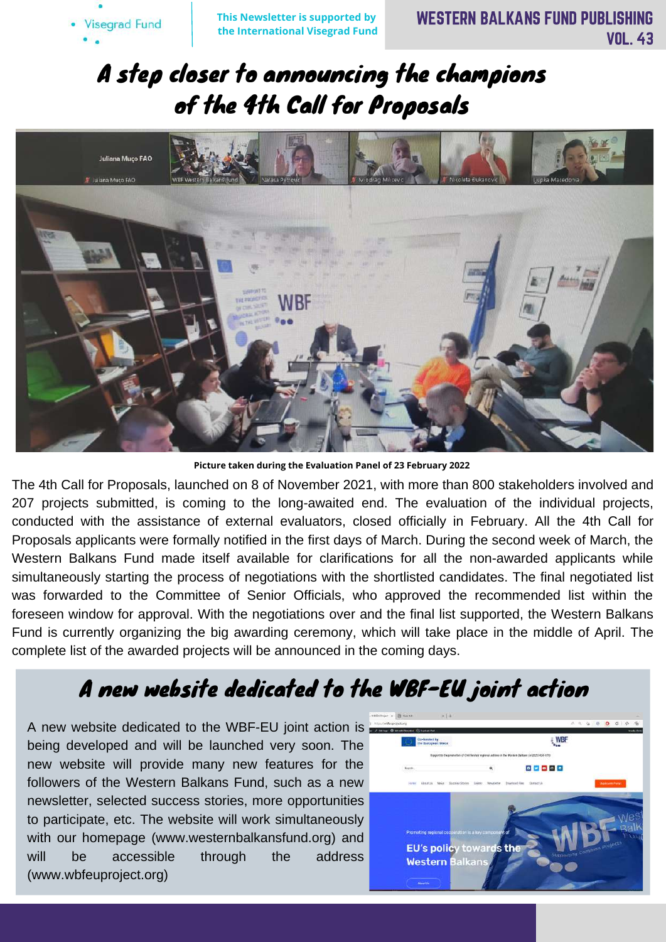# A step closer to announcing the champions of the 4th Call for Proposals



**Picture taken during the Evaluation Panel of 23 February 2022**

The 4th Call for Proposals, launched on 8 of November 2021, with more than 800 stakeholders involved and 207 projects submitted, is coming to the long-awaited end. The evaluation of the individual projects, conducted with the assistance of external evaluators, closed officially in February. All the 4th Call for Proposals applicants were formally notified in the first days of March. During the second week of March, the Western Balkans Fund made itself available for clarifications for all the non-awarded applicants while simultaneously starting the process of negotiations with the shortlisted candidates. The final negotiated list was forwarded to the Committee of Senior Officials, who approved the recommended list within the foreseen window for approval. With the negotiations over and the final list supported, the Western Balkans Fund is currently organizing the big awarding ceremony, which will take place in the middle of April. The complete list of the awarded projects will be announced in the coming days.

# A new website dedicated to the WBF-EU joint action

A new website dedicated to the WBF-EU joint action is being developed and will be launched very soon. The new website will provide many new features for the followers of the Western Balkans Fund, such as a new newsletter, selected success stories, more opportunities to participate, etc. The website will work simultaneously with our homepage (www.westernbalkansfund.org) and will be accessible through the address (www.wbfeuproject.org)

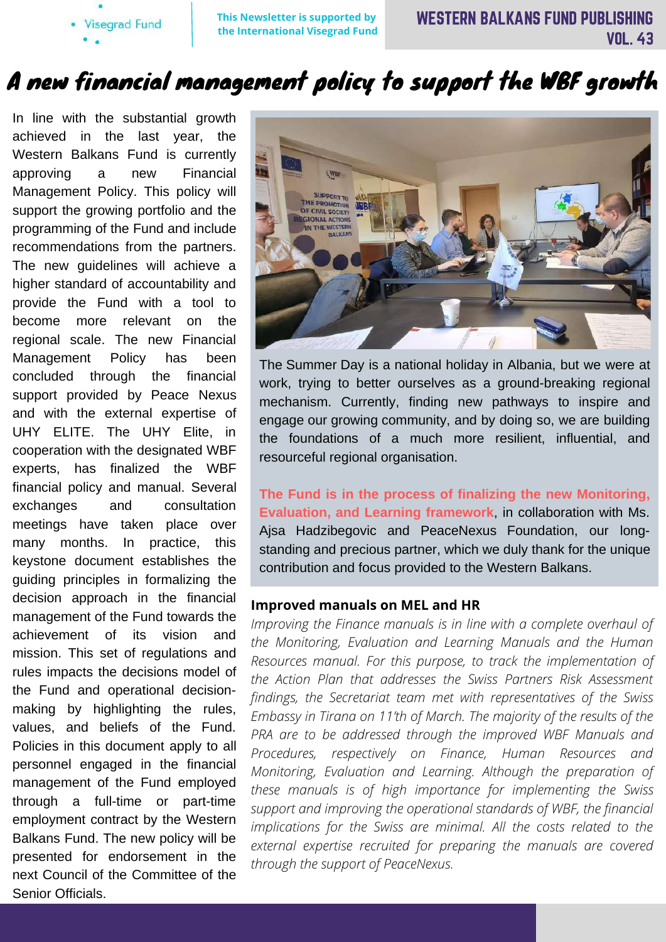**Visegrad Fund** 

**This Newsletter is supported by the International Visegrad Fund**

# A new financial management policy to support the WBF growth

In line with the substantial growth achieved in the last year, the Western Balkans Fund is currently approving a new Financial Management Policy. This policy will support the growing portfolio and the programming of the Fund and include recommendations from the partners. The new guidelines will achieve a higher standard of accountability and provide the Fund with a tool to become more relevant on the regional scale. The new Financial Management Policy has been concluded through the financial support provided by Peace Nexus and with the external expertise of UHY ELITE. The UHY Elite, in cooperation with the designated WBF experts, has finalized the WBF financial policy and manual. Several exchanges and consultation meetings have taken place over many months. In practice, this keystone document establishes the guiding principles in formalizing the decision approach in the financial management of the Fund towards the achievement of its vision and mission. This set of regulations and rules impacts the decisions model of the Fund and operational decisionmaking by highlighting the rules, values, and beliefs of the Fund. Policies in this document apply to all personnel engaged in the financial management of the Fund employed through a full-time or part-time employment contract by the Western Balkans Fund. The new policy will be presented for endorsement in the next Council of the Committee of the Senior Officials.



The [Summer Day](https://www.facebook.com/hashtag/summerday?__eep__=6&__cft__[0]=AZX1ftpzfT5r_aWa07HDOa4BZAXCGolHFu2psIpv5lT-nY-0mLoaleZWuFv6Rbn67QBVP2u6PRMgnhKYIvOHzXUEwsw8wGoMCfJyuN9HVHNzQeHQW0dBqA8lbXA9XaDXaUsHakmMhOqBHbqdyjeJ-tBl&__tn__=*NK-R) is a national holiday in [Albania,](https://www.facebook.com/hashtag/albania?__eep__=6&__cft__[0]=AZX1ftpzfT5r_aWa07HDOa4BZAXCGolHFu2psIpv5lT-nY-0mLoaleZWuFv6Rbn67QBVP2u6PRMgnhKYIvOHzXUEwsw8wGoMCfJyuN9HVHNzQeHQW0dBqA8lbXA9XaDXaUsHakmMhOqBHbqdyjeJ-tBl&__tn__=*NK-R) but we were at work, trying to better ourselves as a ground-breaking regional mechanism. Currently, finding new pathways to inspire and engage our [growing](https://www.facebook.com/hashtag/growing?__eep__=6&__cft__[0]=AZX1ftpzfT5r_aWa07HDOa4BZAXCGolHFu2psIpv5lT-nY-0mLoaleZWuFv6Rbn67QBVP2u6PRMgnhKYIvOHzXUEwsw8wGoMCfJyuN9HVHNzQeHQW0dBqA8lbXA9XaDXaUsHakmMhOqBHbqdyjeJ-tBl&__tn__=*NK-R) [community](https://www.facebook.com/hashtag/community?__eep__=6&__cft__[0]=AZX1ftpzfT5r_aWa07HDOa4BZAXCGolHFu2psIpv5lT-nY-0mLoaleZWuFv6Rbn67QBVP2u6PRMgnhKYIvOHzXUEwsw8wGoMCfJyuN9HVHNzQeHQW0dBqA8lbXA9XaDXaUsHakmMhOqBHbqdyjeJ-tBl&__tn__=*NK-R), and by doing so, we are building the foundations of a much more resilient, influential, and resourceful regional organisation.

**The Fund is in the process of finalizing the new Monitoring, Evaluation, and Learning framework**, in collaboration with Ms. [Ajsa Hadzibegovic](https://www.facebook.com/ajsa.hadzibegovic?__cft__[0]=AZX1ftpzfT5r_aWa07HDOa4BZAXCGolHFu2psIpv5lT-nY-0mLoaleZWuFv6Rbn67QBVP2u6PRMgnhKYIvOHzXUEwsw8wGoMCfJyuN9HVHNzQeHQW0dBqA8lbXA9XaDXaUsHakmMhOqBHbqdyjeJ-tBl&__tn__=-]K-R) and [PeaceNexus Foundation](https://www.facebook.com/PeaceNexus-Foundation-306993659440920/?__cft__[0]=AZX1ftpzfT5r_aWa07HDOa4BZAXCGolHFu2psIpv5lT-nY-0mLoaleZWuFv6Rbn67QBVP2u6PRMgnhKYIvOHzXUEwsw8wGoMCfJyuN9HVHNzQeHQW0dBqA8lbXA9XaDXaUsHakmMhOqBHbqdyjeJ-tBl&__tn__=kK-R), our longstanding and precious partner, which we duly thank for the unique contribution and focus provided to the Western Balkans.

#### **Improved manuals on MEL and HR**

*Improving the Finance manuals is in line with a complete overhaul of the Monitoring, Evaluation and Learning Manuals and the Human Resources manual. For this purpose, to track the implementation of the Action Plan that addresses the Swiss Partners Risk Assessment findings, the Secretariat team met with representatives of the Swiss Embassy in Tirana on 11'th of March. The majority of the results of the PRA are to be addressed through the improved WBF Manuals and Procedures, respectively on Finance, Human Resources and Monitoring, Evaluation and Learning. Although the preparation of these manuals is of high importance for implementing the Swiss support and improving the operational standards of WBF, the financial implications for the Swiss are minimal. All the costs related to the external expertise recruited for preparing the manuals are covered through the support of PeaceNexus.*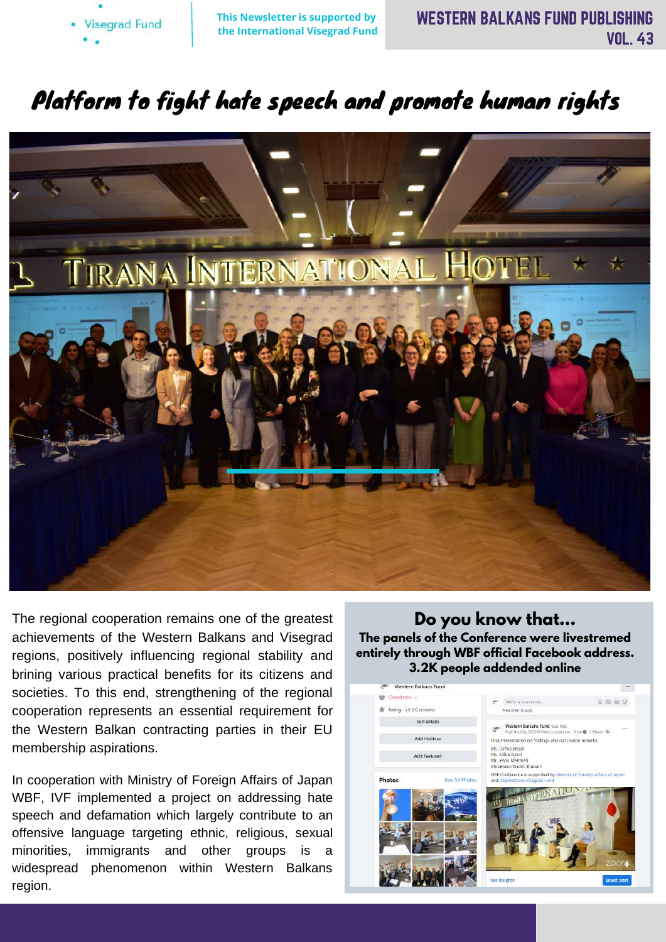

# Platform to fight hate speech and promote human rights



The regional cooperation remains one of the greatest achievements of the Western Balkans and Visegrad regions, positively influencing regional stability and brining various practical benefits for its citizens and societies. To this end, strengthening of the regional cooperation represents an essential requirement for the Western Balkan contracting parties in their EU membership aspirations.

In cooperation with Ministry of Foreign Affairs of Japan WBF, IVF implemented a project on addressing hate speech and defamation which largely contribute to an offensive language targeting ethnic, religious, sexual minorities, immigrants and other groups is a widespread phenomenon within Western Balkans region.

**Do you know that... The panels of the Conference were livestremed entirely through WBF official Facebook address. 3.2K people addended online**

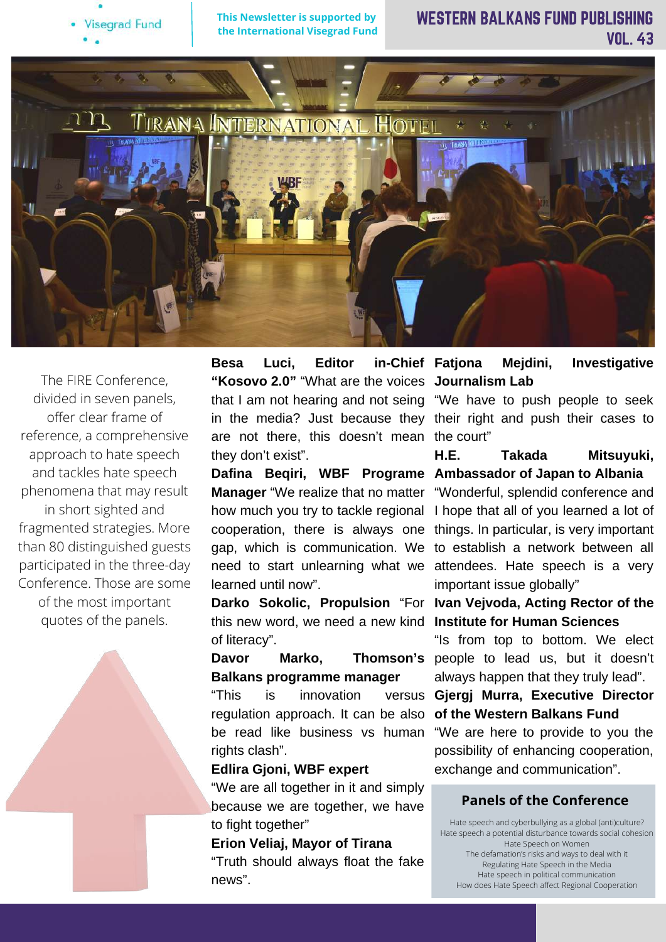

## WESTERN BALKANS FUND PUBLISHING VOL. 43



The FIRE Conference, divided in seven panels, offer clear frame of reference, a comprehensive approach to hate speech and tackles hate speech phenomena that may result in short sighted and fragmented strategies. More than 80 distinguished guests participated in the three-day Conference. Those are some of the most important quotes of the panels.

**Besa Luci, Editor in-Chief "Kosovo 2.0"** "What are the voices **Journalism Lab** that I am not hearing and not seing "We have to push people to seek are not there, this doesn't mean the court" they don't exist".

**Manager** "We realize that no matter "Wonderful, splendid conference and learned until now".

this new word, we need a new kind **Institute for Human Sciences** of literacy".

**Balkans programme manager**

"This is innovation versus regulation approach. It can be also be read like business vs human rights clash".

#### **Edlira Gjoni, WBF expert**

"We are all together in it and simply because we are together, we have to fight together"

**Erion Veliaj, Mayor of Tirana**

"Truth should always float the fake news".

**Mejdini, Investigative** 

in the media? Just because they their right and push their cases to

**Dafina Beqiri, WBF Programe Ambassador of Japan to Albania H.E. Takada Mitsuyuki,**

how much you try to tackle regional I hope that all of you learned a lot of cooperation, there is always one things. In particular, is very important gap, which is communication. We to establish a network between all need to start unlearning what we attendees. Hate speech is a very important issue globally"

**Darko Sokolic, Propulsion** "For **Ivan Vejvoda, Acting Rector of the**

**Davor Marko, Thomson's** people to lead us, but it doesn't "Is from top to bottom. We elect always happen that they truly lead".

> **Gjergj Murra, Executive Director of the Western Balkans Fund**

> "We are here to provide to you the possibility of enhancing cooperation, exchange and communication".

### **Panels of the Conference**

Hate speech and cyberbullying as a global (anti)culture? Hate speech a potential disturbance towards social cohesion Hate Speech on Women The defamation's risks and ways to deal with it Regulating Hate Speech in the Media Hate speech in political communication How does Hate Speech affect Regional Cooperation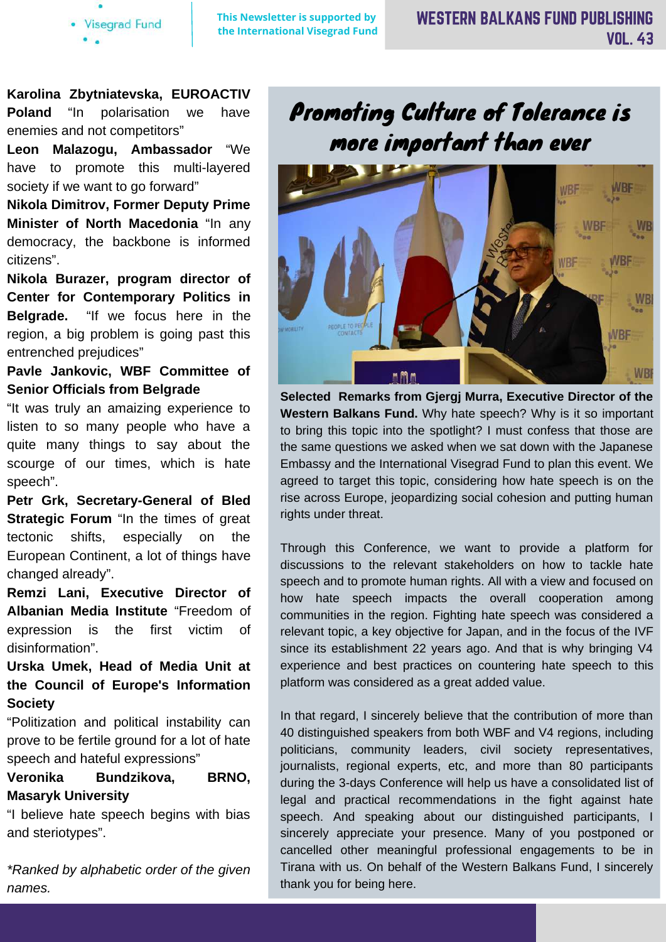**Visegrad Fund** 

**This Newsletter is supported by the International Visegrad Fund**

**Karolina Zbytniatevska, EUROACTIV Poland** "In polarisation we have enemies and not competitors"

**Leon Malazogu, Ambassador** "We have to promote this multi-layered society if we want to go forward"

**Nikola Dimitrov, Former Deputy Prime Minister of North Macedonia** "In any democracy, the backbone is informed citizens".

**Nikola Burazer, program director of Center for Contemporary Politics in Belgrade.** "If we focus here in the region, a big problem is going past this entrenched prejudices"

## **Pavle Jankovic, WBF Committee of Senior Officials from Belgrade**

"It was truly an amaizing experience to listen to so many people who have a quite many things to say about the scourge of our times, which is hate speech".

**Petr Grk, Secretary-General of Bled Strategic Forum** "In the times of great tectonic shifts, especially on the European Continent, a lot of things have changed already".

**Remzi Lani, Executive Director of Albanian Media Institute** "Freedom of expression is the first victim of disinformation".

**Urska Umek, Head of Media Unit at the Council of Europe's Information Society**

"Politization and political instability can prove to be fertile ground for a lot of hate speech and hateful expressions"

## **Veronika Bundzikova, BRNO, Masaryk University**

"I believe hate speech begins with bias and steriotypes".

*\*Ranked by alphabetic order of the given names.*

# Promoting Culture of Tolerance is more important than ever



**Selected Remarks from Gjergj Murra, Executive Director of the Western Balkans Fund.** Why hate speech? Why is it so important to bring this topic into the spotlight? I must confess that those are the same questions we asked when we sat down with the Japanese Embassy and the International Visegrad Fund to plan this event. We agreed to target this topic, considering how hate speech is on the rise across Europe, jeopardizing social cohesion and putting human rights under threat.

Through this Conference, we want to provide a platform for discussions to the relevant stakeholders on how to tackle hate speech and to promote human rights. All with a view and focused on how hate speech impacts the overall cooperation among communities in the region. Fighting hate speech was considered a relevant topic, a key objective for Japan, and in the focus of the IVF since its establishment 22 years ago. And that is why bringing V4 experience and best practices on countering hate speech to this platform was considered as a great added value.

In that regard, I sincerely believe that the contribution of more than 40 distinguished speakers from both WBF and V4 regions, including politicians, community leaders, civil society representatives, journalists, regional experts, etc, and more than 80 participants during the 3-days Conference will help us have a consolidated list of legal and practical recommendations in the fight against hate speech. And speaking about our distinguished participants, I sincerely appreciate your presence. Many of you postponed or cancelled other meaningful professional engagements to be in Tirana with us. On behalf of the Western Balkans Fund, I sincerely thank you for being here.